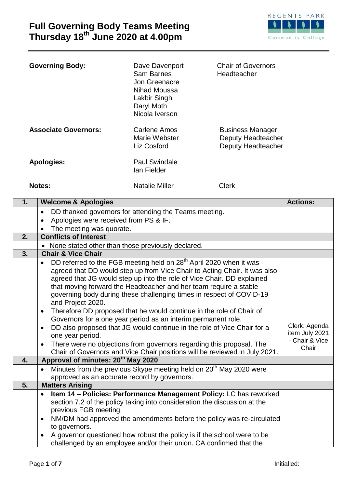

| <b>Governing Body:</b>      | Dave Davenport<br>Sam Barnes<br>Jon Greenacre<br>Nihad Moussa<br>Lakbir Singh<br>Daryl Moth<br>Nicola Iverson | <b>Chair of Governors</b><br>Headteacher                            |
|-----------------------------|---------------------------------------------------------------------------------------------------------------|---------------------------------------------------------------------|
| <b>Associate Governors:</b> | Carlene Amos<br>Marie Webster<br>Liz Cosford                                                                  | <b>Business Manager</b><br>Deputy Headteacher<br>Deputy Headteacher |
| <b>Apologies:</b>           | <b>Paul Swindale</b><br>lan Fielder                                                                           |                                                                     |

**Notes:** Natalie Miller Clerk

| 1. | <b>Welcome &amp; Apologies</b>                                                                                                                                                                                                                                                                                                                                                                                                                                                                                                                                                                                                                                                                                                                                                                                                  | <b>Actions:</b>                                            |
|----|---------------------------------------------------------------------------------------------------------------------------------------------------------------------------------------------------------------------------------------------------------------------------------------------------------------------------------------------------------------------------------------------------------------------------------------------------------------------------------------------------------------------------------------------------------------------------------------------------------------------------------------------------------------------------------------------------------------------------------------------------------------------------------------------------------------------------------|------------------------------------------------------------|
|    | DD thanked governors for attending the Teams meeting.<br>$\bullet$                                                                                                                                                                                                                                                                                                                                                                                                                                                                                                                                                                                                                                                                                                                                                              |                                                            |
|    | Apologies were received from PS & IF.<br>$\bullet$                                                                                                                                                                                                                                                                                                                                                                                                                                                                                                                                                                                                                                                                                                                                                                              |                                                            |
|    | The meeting was quorate.                                                                                                                                                                                                                                                                                                                                                                                                                                                                                                                                                                                                                                                                                                                                                                                                        |                                                            |
| 2. | <b>Conflicts of Interest</b>                                                                                                                                                                                                                                                                                                                                                                                                                                                                                                                                                                                                                                                                                                                                                                                                    |                                                            |
|    | • None stated other than those previously declared.                                                                                                                                                                                                                                                                                                                                                                                                                                                                                                                                                                                                                                                                                                                                                                             |                                                            |
| 3. | <b>Chair &amp; Vice Chair</b>                                                                                                                                                                                                                                                                                                                                                                                                                                                                                                                                                                                                                                                                                                                                                                                                   |                                                            |
|    | DD referred to the FGB meeting held on 28 <sup>th</sup> April 2020 when it was<br>agreed that DD would step up from Vice Chair to Acting Chair. It was also<br>agreed that JG would step up into the role of Vice Chair. DD explained<br>that moving forward the Headteacher and her team require a stable<br>governing body during these challenging times in respect of COVID-19<br>and Project 2020.<br>Therefore DD proposed that he would continue in the role of Chair of<br>$\bullet$<br>Governors for a one year period as an interim permanent role.<br>DD also proposed that JG would continue in the role of Vice Chair for a<br>$\bullet$<br>one year period.<br>There were no objections from governors regarding this proposal. The<br>Chair of Governors and Vice Chair positions will be reviewed in July 2021. | Clerk: Agenda<br>item July 2021<br>- Chair & Vice<br>Chair |
| 4. | Approval of minutes: 20 <sup>th</sup> May 2020                                                                                                                                                                                                                                                                                                                                                                                                                                                                                                                                                                                                                                                                                                                                                                                  |                                                            |
|    | Minutes from the previous Skype meeting held on 20 <sup>th</sup> May 2020 were<br>$\bullet$<br>approved as an accurate record by governors.                                                                                                                                                                                                                                                                                                                                                                                                                                                                                                                                                                                                                                                                                     |                                                            |
| 5. | <b>Matters Arising</b>                                                                                                                                                                                                                                                                                                                                                                                                                                                                                                                                                                                                                                                                                                                                                                                                          |                                                            |
|    | Item 14 - Policies: Performance Management Policy: LC has reworked<br>section 7.2 of the policy taking into consideration the discussion at the<br>previous FGB meeting.<br>NM/DM had approved the amendments before the policy was re-circulated<br>$\bullet$<br>to governors.<br>A governor questioned how robust the policy is if the school were to be<br>challenged by an employee and/or their union. CA confirmed that the                                                                                                                                                                                                                                                                                                                                                                                               |                                                            |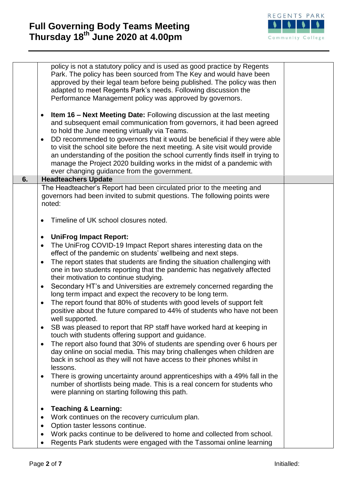

|    | policy is not a statutory policy and is used as good practice by Regents<br>Park. The policy has been sourced from The Key and would have been<br>approved by their legal team before being published. The policy was then<br>adapted to meet Regents Park's needs. Following discussion the<br>Performance Management policy was approved by governors.<br><b>Item 16 – Next Meeting Date:</b> Following discussion at the last meeting<br>and subsequent email communication from governors, it had been agreed<br>to hold the June meeting virtually via Teams.<br>DD recommended to governors that it would be beneficial if they were able<br>to visit the school site before the next meeting. A site visit would provide<br>an understanding of the position the school currently finds itself in trying to<br>manage the Project 2020 building works in the midst of a pandemic with<br>ever changing guidance from the government. |  |
|----|---------------------------------------------------------------------------------------------------------------------------------------------------------------------------------------------------------------------------------------------------------------------------------------------------------------------------------------------------------------------------------------------------------------------------------------------------------------------------------------------------------------------------------------------------------------------------------------------------------------------------------------------------------------------------------------------------------------------------------------------------------------------------------------------------------------------------------------------------------------------------------------------------------------------------------------------|--|
| 6. | <b>Headteachers Update</b>                                                                                                                                                                                                                                                                                                                                                                                                                                                                                                                                                                                                                                                                                                                                                                                                                                                                                                                  |  |
|    | The Headteacher's Report had been circulated prior to the meeting and<br>governors had been invited to submit questions. The following points were<br>noted:                                                                                                                                                                                                                                                                                                                                                                                                                                                                                                                                                                                                                                                                                                                                                                                |  |
|    | Timeline of UK school closures noted.                                                                                                                                                                                                                                                                                                                                                                                                                                                                                                                                                                                                                                                                                                                                                                                                                                                                                                       |  |
|    | <b>UniFrog Impact Report:</b>                                                                                                                                                                                                                                                                                                                                                                                                                                                                                                                                                                                                                                                                                                                                                                                                                                                                                                               |  |
|    | The UniFrog COVID-19 Impact Report shares interesting data on the                                                                                                                                                                                                                                                                                                                                                                                                                                                                                                                                                                                                                                                                                                                                                                                                                                                                           |  |
|    | effect of the pandemic on students' wellbeing and next steps.                                                                                                                                                                                                                                                                                                                                                                                                                                                                                                                                                                                                                                                                                                                                                                                                                                                                               |  |
|    | The report states that students are finding the situation challenging with<br>$\bullet$<br>one in two students reporting that the pandemic has negatively affected<br>their motivation to continue studying.                                                                                                                                                                                                                                                                                                                                                                                                                                                                                                                                                                                                                                                                                                                                |  |
|    | Secondary HT's and Universities are extremely concerned regarding the<br>$\bullet$                                                                                                                                                                                                                                                                                                                                                                                                                                                                                                                                                                                                                                                                                                                                                                                                                                                          |  |
|    | long term impact and expect the recovery to be long term.<br>The report found that 80% of students with good levels of support felt                                                                                                                                                                                                                                                                                                                                                                                                                                                                                                                                                                                                                                                                                                                                                                                                         |  |
|    | $\bullet$<br>positive about the future compared to 44% of students who have not been<br>well supported.                                                                                                                                                                                                                                                                                                                                                                                                                                                                                                                                                                                                                                                                                                                                                                                                                                     |  |
|    | SB was pleased to report that RP staff have worked hard at keeping in<br>touch with students offering support and guidance.                                                                                                                                                                                                                                                                                                                                                                                                                                                                                                                                                                                                                                                                                                                                                                                                                 |  |
|    | The report also found that 30% of students are spending over 6 hours per<br>$\bullet$<br>day online on social media. This may bring challenges when children are<br>back in school as they will not have access to their phones whilst in<br>lessons.                                                                                                                                                                                                                                                                                                                                                                                                                                                                                                                                                                                                                                                                                       |  |
|    | There is growing uncertainty around apprenticeships with a 49% fall in the<br>$\bullet$<br>number of shortlists being made. This is a real concern for students who<br>were planning on starting following this path.                                                                                                                                                                                                                                                                                                                                                                                                                                                                                                                                                                                                                                                                                                                       |  |
|    | <b>Teaching &amp; Learning:</b>                                                                                                                                                                                                                                                                                                                                                                                                                                                                                                                                                                                                                                                                                                                                                                                                                                                                                                             |  |
|    | Work continues on the recovery curriculum plan.                                                                                                                                                                                                                                                                                                                                                                                                                                                                                                                                                                                                                                                                                                                                                                                                                                                                                             |  |
|    | Option taster lessons continue.                                                                                                                                                                                                                                                                                                                                                                                                                                                                                                                                                                                                                                                                                                                                                                                                                                                                                                             |  |
|    | Work packs continue to be delivered to home and collected from school.                                                                                                                                                                                                                                                                                                                                                                                                                                                                                                                                                                                                                                                                                                                                                                                                                                                                      |  |
|    | Regents Park students were engaged with the Tassomai online learning                                                                                                                                                                                                                                                                                                                                                                                                                                                                                                                                                                                                                                                                                                                                                                                                                                                                        |  |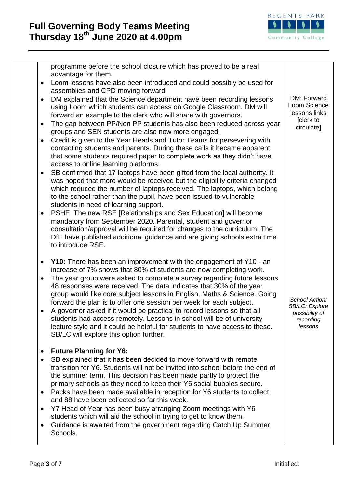

|                                       | programme before the school closure which has proved to be a real<br>advantage for them.                                                                                                                                                                                                                                                                                                                                                                                                                                                                                                                                                                                                                                                                                                                                                                                                                                                                                                                                                  |                                                                            |
|---------------------------------------|-------------------------------------------------------------------------------------------------------------------------------------------------------------------------------------------------------------------------------------------------------------------------------------------------------------------------------------------------------------------------------------------------------------------------------------------------------------------------------------------------------------------------------------------------------------------------------------------------------------------------------------------------------------------------------------------------------------------------------------------------------------------------------------------------------------------------------------------------------------------------------------------------------------------------------------------------------------------------------------------------------------------------------------------|----------------------------------------------------------------------------|
| ٠                                     | Loom lessons have also been introduced and could possibly be used for<br>assemblies and CPD moving forward.                                                                                                                                                                                                                                                                                                                                                                                                                                                                                                                                                                                                                                                                                                                                                                                                                                                                                                                               |                                                                            |
| ٠<br>٠<br>$\bullet$<br>٠<br>٠         | DM explained that the Science department have been recording lessons<br>using Loom which students can access on Google Classroom. DM will<br>forward an example to the clerk who will share with governors.<br>The gap between PP/Non PP students has also been reduced across year<br>groups and SEN students are also now more engaged.<br>Credit is given to the Year Heads and Tutor Teams for persevering with<br>contacting students and parents. During these calls it became apparent<br>that some students required paper to complete work as they didn't have<br>access to online learning platforms.<br>SB confirmed that 17 laptops have been gifted from the local authority. It<br>was hoped that more would be received but the eligibility criteria changed<br>which reduced the number of laptops received. The laptops, which belong<br>to the school rather than the pupil, have been issued to vulnerable<br>students in need of learning support.<br>PSHE: The new RSE [Relationships and Sex Education] will become | DM: Forward<br>Loom Science<br>lessons links<br>[clerk to<br>circulate]    |
|                                       | mandatory from September 2020. Parental, student and governor<br>consultation/approval will be required for changes to the curriculum. The<br>DfE have published additional guidance and are giving schools extra time<br>to introduce RSE.                                                                                                                                                                                                                                                                                                                                                                                                                                                                                                                                                                                                                                                                                                                                                                                               |                                                                            |
| ٠<br>٠                                | <b>Y10:</b> There has been an improvement with the engagement of Y10 - an<br>increase of 7% shows that 80% of students are now completing work.<br>The year group were asked to complete a survey regarding future lessons.<br>48 responses were received. The data indicates that 30% of the year<br>group would like core subject lessons in English, Maths & Science. Going<br>forward the plan is to offer one session per week for each subject.<br>A governor asked if it would be practical to record lessons so that all<br>students had access remotely. Lessons in school will be of university<br>lecture style and it could be helpful for students to have access to these.<br>SB/LC will explore this option further.                                                                                                                                                                                                                                                                                                       | School Action:<br>SB/LC: Explore<br>possibility of<br>recording<br>lessons |
| ٠<br>$\bullet$<br>٠<br>$\bullet$<br>٠ | <b>Future Planning for Y6:</b><br>SB explained that it has been decided to move forward with remote<br>transition for Y6. Students will not be invited into school before the end of<br>the summer term. This decision has been made partly to protect the<br>primary schools as they need to keep their Y6 social bubbles secure.<br>Packs have been made available in reception for Y6 students to collect<br>and 88 have been collected so far this week.<br>Y7 Head of Year has been busy arranging Zoom meetings with Y6<br>students which will aid the school in trying to get to know them.<br>Guidance is awaited from the government regarding Catch Up Summer<br>Schools.                                                                                                                                                                                                                                                                                                                                                       |                                                                            |
|                                       |                                                                                                                                                                                                                                                                                                                                                                                                                                                                                                                                                                                                                                                                                                                                                                                                                                                                                                                                                                                                                                           |                                                                            |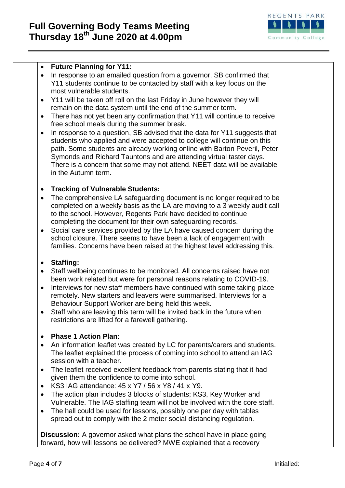

### **Future Planning for Y11:**

- In response to an emailed question from a governor, SB confirmed that Y11 students continue to be contacted by staff with a key focus on the most vulnerable students.
- Y11 will be taken off roll on the last Friday in June however they will remain on the data system until the end of the summer term.
- There has not yet been any confirmation that Y11 will continue to receive free school meals during the summer break.
- In response to a question, SB advised that the data for Y11 suggests that students who applied and were accepted to college will continue on this path. Some students are already working online with Barton Peveril, Peter Symonds and Richard Tauntons and are attending virtual taster days. There is a concern that some may not attend. NEET data will be available in the Autumn term.

# **Tracking of Vulnerable Students:**

- The comprehensive LA safeguarding document is no longer required to be completed on a weekly basis as the LA are moving to a 3 weekly audit call to the school. However, Regents Park have decided to continue completing the document for their own safeguarding records.
- Social care services provided by the LA have caused concern during the school closure. There seems to have been a lack of engagement with families. Concerns have been raised at the highest level addressing this.

# **Staffing:**

- Staff wellbeing continues to be monitored. All concerns raised have not been work related but were for personal reasons relating to COVID-19.
- Interviews for new staff members have continued with some taking place remotely. New starters and leavers were summarised. Interviews for a Behaviour Support Worker are being held this week.
- Staff who are leaving this term will be invited back in the future when restrictions are lifted for a farewell gathering.

#### **Phase 1 Action Plan:**

- An information leaflet was created by LC for parents/carers and students. The leaflet explained the process of coming into school to attend an IAG session with a teacher.
- The leaflet received excellent feedback from parents stating that it had given them the confidence to come into school.
- KS3 IAG attendance: 45 x Y7 / 56 x Y8 / 41 x Y9.
- The action plan includes 3 blocks of students; KS3, Key Worker and Vulnerable. The IAG staffing team will not be involved with the core staff.
- The hall could be used for lessons, possibly one per day with tables spread out to comply with the 2 meter social distancing regulation.

**Discussion:** A governor asked what plans the school have in place going forward, how will lessons be delivered? MWE explained that a recovery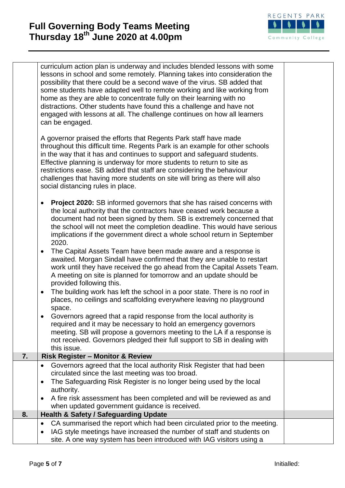# **Full Governing Body Teams Meeting Thursday 18th June 2020 at 4.00pm**



|    | curriculum action plan is underway and includes blended lessons with some<br>lessons in school and some remotely. Planning takes into consideration the<br>possibility that there could be a second wave of the virus. SB added that<br>some students have adapted well to remote working and like working from<br>home as they are able to concentrate fully on their learning with no<br>distractions. Other students have found this a challenge and have not<br>engaged with lessons at all. The challenge continues on how all learners<br>can be engaged.<br>A governor praised the efforts that Regents Park staff have made<br>throughout this difficult time. Regents Park is an example for other schools<br>in the way that it has and continues to support and safeguard students.<br>Effective planning is underway for more students to return to site as<br>restrictions ease. SB added that staff are considering the behaviour<br>challenges that having more students on site will bring as there will also<br>social distancing rules in place.                                                                                                                                    |  |
|----|-------------------------------------------------------------------------------------------------------------------------------------------------------------------------------------------------------------------------------------------------------------------------------------------------------------------------------------------------------------------------------------------------------------------------------------------------------------------------------------------------------------------------------------------------------------------------------------------------------------------------------------------------------------------------------------------------------------------------------------------------------------------------------------------------------------------------------------------------------------------------------------------------------------------------------------------------------------------------------------------------------------------------------------------------------------------------------------------------------------------------------------------------------------------------------------------------------|--|
|    | <b>Project 2020:</b> SB informed governors that she has raised concerns with<br>the local authority that the contractors have ceased work because a<br>document had not been signed by them. SB is extremely concerned that<br>the school will not meet the completion deadline. This would have serious<br>implications if the government direct a whole school return in September<br>2020.<br>The Capital Assets Team have been made aware and a response is<br>awaited. Morgan Sindall have confirmed that they are unable to restart<br>work until they have received the go ahead from the Capital Assets Team.<br>A meeting on site is planned for tomorrow and an update should be<br>provided following this.<br>The building work has left the school in a poor state. There is no roof in<br>places, no ceilings and scaffolding everywhere leaving no playground<br>space.<br>Governors agreed that a rapid response from the local authority is<br>required and it may be necessary to hold an emergency governors<br>meeting. SB will propose a governors meeting to the LA if a response is<br>not received. Governors pledged their full support to SB in dealing with<br>this issue. |  |
| 7. | <b>Risk Register - Monitor &amp; Review</b>                                                                                                                                                                                                                                                                                                                                                                                                                                                                                                                                                                                                                                                                                                                                                                                                                                                                                                                                                                                                                                                                                                                                                           |  |
|    | Governors agreed that the local authority Risk Register that had been<br>circulated since the last meeting was too broad.<br>The Safeguarding Risk Register is no longer being used by the local<br>$\bullet$<br>authority.                                                                                                                                                                                                                                                                                                                                                                                                                                                                                                                                                                                                                                                                                                                                                                                                                                                                                                                                                                           |  |
|    | A fire risk assessment has been completed and will be reviewed as and<br>when updated government guidance is received.                                                                                                                                                                                                                                                                                                                                                                                                                                                                                                                                                                                                                                                                                                                                                                                                                                                                                                                                                                                                                                                                                |  |
| 8. | <b>Health &amp; Safety / Safeguarding Update</b>                                                                                                                                                                                                                                                                                                                                                                                                                                                                                                                                                                                                                                                                                                                                                                                                                                                                                                                                                                                                                                                                                                                                                      |  |
|    | CA summarised the report which had been circulated prior to the meeting.<br>$\bullet$<br>IAG style meetings have increased the number of staff and students on<br>site. A one way system has been introduced with IAG visitors using a                                                                                                                                                                                                                                                                                                                                                                                                                                                                                                                                                                                                                                                                                                                                                                                                                                                                                                                                                                |  |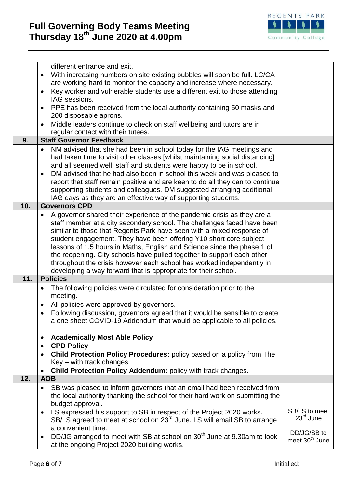

|     | different entrance and exit.                                                                                                                                              |                            |
|-----|---------------------------------------------------------------------------------------------------------------------------------------------------------------------------|----------------------------|
|     | With increasing numbers on site existing bubbles will soon be full. LC/CA<br>$\bullet$                                                                                    |                            |
|     | are working hard to monitor the capacity and increase where necessary.                                                                                                    |                            |
|     | Key worker and vulnerable students use a different exit to those attending<br>$\bullet$                                                                                   |                            |
|     | IAG sessions.                                                                                                                                                             |                            |
|     | PPE has been received from the local authority containing 50 masks and<br>$\bullet$                                                                                       |                            |
|     | 200 disposable aprons.                                                                                                                                                    |                            |
|     | Middle leaders continue to check on staff wellbeing and tutors are in                                                                                                     |                            |
|     | regular contact with their tutees.                                                                                                                                        |                            |
| 9.  | <b>Staff Governor Feedback</b>                                                                                                                                            |                            |
|     | NM advised that she had been in school today for the IAG meetings and<br>$\bullet$                                                                                        |                            |
|     | had taken time to visit other classes [whilst maintaining social distancing]<br>and all seemed well; staff and students were happy to be in school.                       |                            |
|     | DM advised that he had also been in school this week and was pleased to                                                                                                   |                            |
|     | $\bullet$<br>report that staff remain positive and are keen to do all they can to continue                                                                                |                            |
|     | supporting students and colleagues. DM suggested arranging additional                                                                                                     |                            |
|     | IAG days as they are an effective way of supporting students.                                                                                                             |                            |
| 10. | <b>Governors CPD</b>                                                                                                                                                      |                            |
|     | A governor shared their experience of the pandemic crisis as they are a<br>٠                                                                                              |                            |
|     | staff member at a city secondary school. The challenges faced have been                                                                                                   |                            |
|     | similar to those that Regents Park have seen with a mixed response of                                                                                                     |                            |
|     | student engagement. They have been offering Y10 short core subject                                                                                                        |                            |
|     | lessons of 1.5 hours in Maths, English and Science since the phase 1 of                                                                                                   |                            |
|     | the reopening. City schools have pulled together to support each other                                                                                                    |                            |
|     | throughout the crisis however each school has worked independently in                                                                                                     |                            |
|     | developing a way forward that is appropriate for their school.                                                                                                            |                            |
| 11. | <b>Policies</b>                                                                                                                                                           |                            |
|     | The following policies were circulated for consideration prior to the                                                                                                     |                            |
|     | meeting.                                                                                                                                                                  |                            |
|     | All policies were approved by governors.<br>٠                                                                                                                             |                            |
|     | Following discussion, governors agreed that it would be sensible to create<br>$\bullet$                                                                                   |                            |
|     | a one sheet COVID-19 Addendum that would be applicable to all policies.                                                                                                   |                            |
|     |                                                                                                                                                                           |                            |
|     | <b>Academically Most Able Policy</b><br>$\bullet$                                                                                                                         |                            |
|     | <b>CPD Policy</b><br>٠                                                                                                                                                    |                            |
|     | Child Protection Policy Procedures: policy based on a policy from The                                                                                                     |                            |
|     | Key - with track changes.                                                                                                                                                 |                            |
|     | Child Protection Policy Addendum: policy with track changes.                                                                                                              |                            |
| 12. | <b>AOB</b>                                                                                                                                                                |                            |
|     | SB was pleased to inform governors that an email had been received from                                                                                                   |                            |
|     | the local authority thanking the school for their hard work on submitting the                                                                                             |                            |
|     | budget approval.                                                                                                                                                          | SB/LS to meet              |
|     | LS expressed his support to SB in respect of the Project 2020 works.<br>$\bullet$<br>SB/LS agreed to meet at school on 23 <sup>rd</sup> June. LS will email SB to arrange | $23rd$ June                |
|     | a convenient time.                                                                                                                                                        |                            |
|     | DD/JG arranged to meet with SB at school on 30 <sup>th</sup> June at 9.30am to look                                                                                       | DD/JG/SB to                |
|     | at the ongoing Project 2020 building works.                                                                                                                               | meet 30 <sup>th</sup> June |
|     |                                                                                                                                                                           |                            |